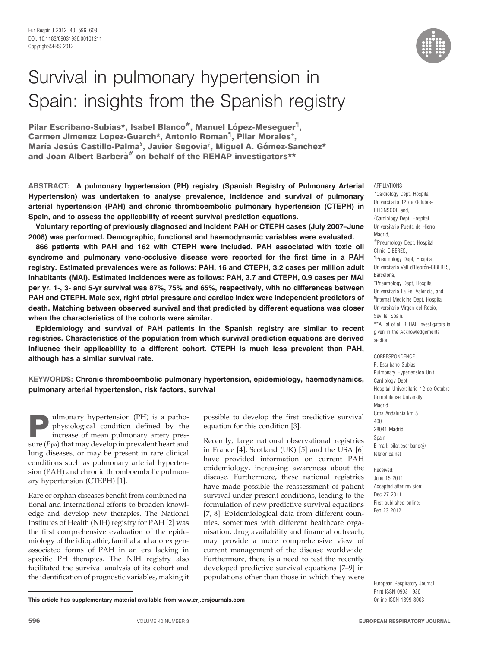# Survival in pulmonary hypertension in Spain: insights from the Spanish registry

Pilar Escribano-Subias\*, Isabel Blanco<sup>#</sup>, Manuel López-Meseguer<sup>1</sup>, Carmen Jimenez Lopez-Guarch\*, Antonio Roman<sup>1</sup>, Pilar Morales<sup>+</sup>, María Jesús Castillo-Palma<sup>s</sup>, Javier Segovia<sup>f</sup>, Miguel A. Gómez-Sanchez\* and Joan Albert Barbera<sup>#</sup> on behalf of the REHAP investigators\*\*

ABSTRACT: A pulmonary hypertension (PH) registry (Spanish Registry of Pulmonary Arterial Hypertension) was undertaken to analyse prevalence, incidence and survival of pulmonary arterial hypertension (PAH) and chronic thromboembolic pulmonary hypertension (CTEPH) in Spain, and to assess the applicability of recent survival prediction equations.

Voluntary reporting of previously diagnosed and incident PAH or CTEPH cases (July 2007–June 2008) was performed. Demographic, functional and haemodynamic variables were evaluated.

866 patients with PAH and 162 with CTEPH were included. PAH associated with toxic oil syndrome and pulmonary veno-occlusive disease were reported for the first time in a PAH registry. Estimated prevalences were as follows: PAH, 16 and CTEPH, 3.2 cases per million adult inhabitants (MAI). Estimated incidences were as follows: PAH, 3.7 and CTEPH, 0.9 cases per MAI per yr. 1-, 3- and 5-yr survival was 87%, 75% and 65%, respectively, with no differences between PAH and CTEPH. Male sex, right atrial pressure and cardiac index were independent predictors of death. Matching between observed survival and that predicted by different equations was closer when the characteristics of the cohorts were similar.

Epidemiology and survival of PAH patients in the Spanish registry are similar to recent registries. Characteristics of the population from which survival prediction equations are derived influence their applicability to a different cohort. CTEPH is much less prevalent than PAH, although has a similar survival rate.

# KEYWORDS: Chronic thromboembolic pulmonary hypertension, epidemiology, haemodynamics, pulmonary arterial hypertension, risk factors, survival

**Pulmonary hypertension (PH) is a patho-**<br>physiological condition defined by the<br>increase of mean pulmonary artery pres-<br>sure (*P<sub>n</sub>*) that may develop in provident beat and physiological condition defined by the sure  $(P_{pa})$  that may develop in prevalent heart and lung diseases, or may be present in rare clinical conditions such as pulmonary arterial hypertension (PAH) and chronic thromboembolic pulmonary hypertension (CTEPH) [1].

Rare or orphan diseases benefit from combined national and international efforts to broaden knowledge and develop new therapies. The National Institutes of Health (NIH) registry for PAH [2] was the first comprehensive evaluation of the epidemiology of the idiopathic, familial and anorexigenassociated forms of PAH in an era lacking in specific PH therapies. The NIH registry also facilitated the survival analysis of its cohort and the identification of prognostic variables, making it

possible to develop the first predictive survival equation for this condition [3].

Recently, large national observational registries in France [4], Scotland (UK) [5] and the USA [6] have provided information on current PAH epidemiology, increasing awareness about the disease. Furthermore, these national registries have made possible the reassessment of patient survival under present conditions, leading to the formulation of new predictive survival equations [7, 8]. Epidemiological data from different countries, sometimes with different healthcare organisation, drug availability and financial outreach, may provide a more comprehensive view of current management of the disease worldwide. Furthermore, there is a need to test the recently developed predictive survival equations [7–9] in populations other than those in which they were

AFFILIATIONS \*Cardiology Dept, Hospital Universitario 12 de Octubre-REDINSCOR and,  ${}^f$ Cardiology Dept, Hospital Universitario Puerta de Hierro, Madrid, #Pneumology Dept, Hospital Clínic-CIBERES. " Pneumology Dept, Hospital Universitario Vall d'Hebrón-CIBERES, Barcelona, + Pneumology Dept, Hospital Universitario La Fe, Valencia, and 1 Internal Medicine Dept, Hospital Universitario Virgen del Rocío, Seville, Snain. \*\*A list of all REHAP investigators is given in the Acknowledgements section.

**CORRESPONDENCE** P. Escribano-Subias Pulmonary Hypertension Unit, Cardiology Dept Hospital Universitario 12 de Octubre Complutense University Madrid Crtra Andalucia km 5  $100$ 28041 Madrid Spain E-mail: pilar.escribano@ telefonica.net

Received: June 15 2011 Accepted after revision: Dec 27 2011 First published online: Feb 23 2012

European Respiratory Journal Print ISSN 0903-1936

This article has supplementary material available from www.erj.ersjournals.com **Online ISSN 1399-3003** Online ISSN 1399-3003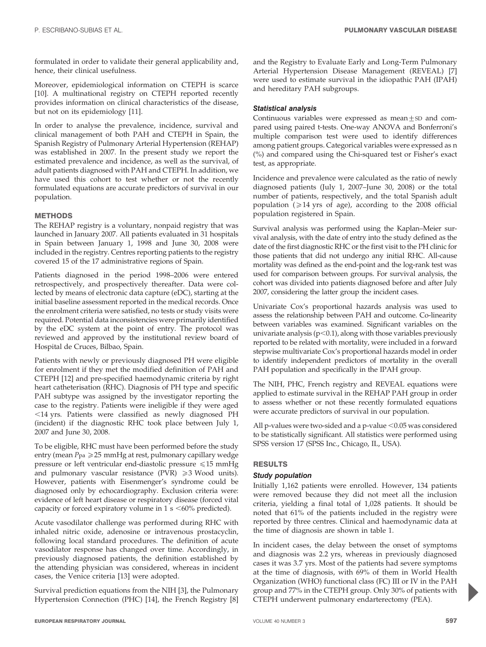formulated in order to validate their general applicability and, hence, their clinical usefulness.

Moreover, epidemiological information on CTEPH is scarce [10]. A multinational registry on CTEPH reported recently provides information on clinical characteristics of the disease, but not on its epidemiology [11].

In order to analyse the prevalence, incidence, survival and clinical management of both PAH and CTEPH in Spain, the Spanish Registry of Pulmonary Arterial Hypertension (REHAP) was established in 2007. In the present study we report the estimated prevalence and incidence, as well as the survival, of adult patients diagnosed with PAH and CTEPH. In addition, we have used this cohort to test whether or not the recently formulated equations are accurate predictors of survival in our population.

# **METHODS**

The REHAP registry is a voluntary, nonpaid registry that was launched in January 2007. All patients evaluated in 31 hospitals in Spain between January 1, 1998 and June 30, 2008 were included in the registry. Centres reporting patients to the registry covered 15 of the 17 administrative regions of Spain.

Patients diagnosed in the period 1998–2006 were entered retrospectively, and prospectively thereafter. Data were collected by means of electronic data capture (eDC), starting at the initial baseline assessment reported in the medical records. Once the enrolment criteria were satisfied, no tests or study visits were required. Potential data inconsistencies were primarily identified by the eDC system at the point of entry. The protocol was reviewed and approved by the institutional review board of Hospital de Cruces, Bilbao, Spain.

Patients with newly or previously diagnosed PH were eligible for enrolment if they met the modified definition of PAH and CTEPH [12] and pre-specified haemodynamic criteria by right heart catheterisation (RHC). Diagnosis of PH type and specific PAH subtype was assigned by the investigator reporting the case to the registry. Patients were ineligible if they were aged  $<$ 14 yrs. Patients were classified as newly diagnosed PH (incident) if the diagnostic RHC took place between July 1, 2007 and June 30, 2008.

To be eligible, RHC must have been performed before the study entry (mean  $P_{pa} \ge 25$  mmHg at rest, pulmonary capillary wedge pressure or left ventricular end-diastolic pressure  $\leq 15$  mmHg and pulmonary vascular resistance (PVR)  $\geq 3$  Wood units). However, patients with Eisenmenger's syndrome could be diagnosed only by echocardiography. Exclusion criteria were: evidence of left heart disease or respiratory disease (forced vital capacity or forced expiratory volume in  $1 \text{ s} \le 60\%$  predicted).

Acute vasodilator challenge was performed during RHC with inhaled nitric oxide, adenosine or intravenous prostacyclin, following local standard procedures. The definition of acute vasodilator response has changed over time. Accordingly, in previously diagnosed patients, the definition established by the attending physician was considered, whereas in incident cases, the Venice criteria [13] were adopted.

Survival prediction equations from the NIH [3], the Pulmonary Hypertension Connection (PHC) [14], the French Registry [8] and the Registry to Evaluate Early and Long-Term Pulmonary Arterial Hypertension Disease Management (REVEAL) [7] were used to estimate survival in the idiopathic PAH (IPAH) and hereditary PAH subgroups.

# Statistical analysis

Continuous variables were expressed as mean $+$ SD and compared using paired t-tests. One-way ANOVA and Bonferroni's multiple comparison test were used to identify differences among patient groups. Categorical variables were expressed as n (%) and compared using the Chi-squared test or Fisher's exact test, as appropriate.

Incidence and prevalence were calculated as the ratio of newly diagnosed patients (July 1, 2007–June 30, 2008) or the total number of patients, respectively, and the total Spanish adult population ( $\geq$ 14 yrs of age), according to the 2008 official population registered in Spain.

Survival analysis was performed using the Kaplan–Meier survival analysis, with the date of entry into the study defined as the date of the first diagnostic RHC or the first visit to the PH clinic for those patients that did not undergo any initial RHC. All-cause mortality was defined as the end-point and the log-rank test was used for comparison between groups. For survival analysis, the cohort was divided into patients diagnosed before and after July 2007, considering the latter group the incident cases.

Univariate Cox's proportional hazards analysis was used to assess the relationship between PAH and outcome. Co-linearity between variables was examined. Significant variables on the univariate analysis ( $p<0.1$ ), along with those variables previously reported to be related with mortality, were included in a forward stepwise multivariate Cox's proportional hazards model in order to identify independent predictors of mortality in the overall PAH population and specifically in the IPAH group.

The NIH, PHC, French registry and REVEAL equations were applied to estimate survival in the REHAP PAH group in order to assess whether or not these recently formulated equations were accurate predictors of survival in our population.

All p-values were two-sided and a p-value  $<$  0.05 was considered to be statistically significant. All statistics were performed using SPSS version 17 (SPSS Inc., Chicago, IL, USA).

# RESULTS

# Study population

Initially 1,162 patients were enrolled. However, 134 patients were removed because they did not meet all the inclusion criteria, yielding a final total of 1,028 patients. It should be noted that 61% of the patients included in the registry were reported by three centres. Clinical and haemodynamic data at the time of diagnosis are shown in table 1.

In incident cases, the delay between the onset of symptoms and diagnosis was 2.2 yrs, whereas in previously diagnosed cases it was 3.7 yrs. Most of the patients had severe symptoms at the time of diagnosis, with 69% of them in World Health Organization (WHO) functional class (FC) III or IV in the PAH group and 77% in the CTEPH group. Only 30% of patients with CTEPH underwent pulmonary endarterectomy (PEA).

P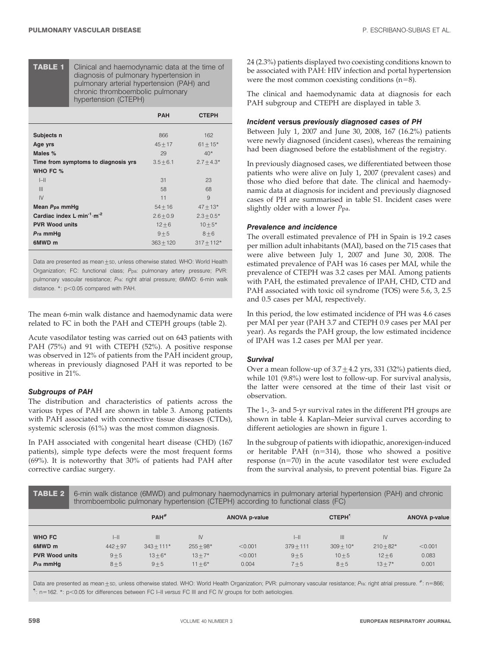TABLE 1 Clinical and haemodynamic data at the time of diagnosis of pulmonary hypertension in pulmonary arterial hypertension (PAH) and chronic thromboembolic pulmonary hypertension (CTEPH)

|                                                                            | <b>PAH</b>              | <b>CTEPH</b>              |
|----------------------------------------------------------------------------|-------------------------|---------------------------|
| Subjects n<br>Age yrs                                                      | 866<br>$45 + 17$        | 162<br>$61 + 15*$         |
| Males %                                                                    | 29                      | $40*$                     |
| Time from symptoms to diagnosis yrs<br>WHO FC %                            | $3.5 + 6.1$             | $2.7 + 4.3*$              |
| $I - II$                                                                   | 31                      | 23                        |
| III                                                                        | 58                      | 68                        |
| IV<br>Mean P <sub>pa</sub> mmHg                                            | 11<br>$54 + 16$         | 9<br>$47 + 13*$           |
| Cardiac index $L \text{ min}^{-1} \text{ m}^{-2}$<br><b>PVR Wood units</b> | $2.6 + 0.9$<br>$12 + 6$ | $2.3 + 0.5*$<br>$10 + 5*$ |
| Pra mmHg<br>6MWD <sub>m</sub>                                              | $9 + 5$<br>$363 + 120$  | $8 + 6$<br>$317 + 112*$   |

Data are presented as mean $\pm$ sp, unless otherwise stated. WHO: World Health Organization; FC: functional class; Ppa: pulmonary artery pressure; PVR: pulmonary vascular resistance; Pra: right atrial pressure; 6MWD: 6-min walk distance.  $*$ :  $p$ <0.05 compared with PAH.

The mean 6-min walk distance and haemodynamic data were related to FC in both the PAH and CTEPH groups (table 2).

Acute vasodilator testing was carried out on 643 patients with PAH (75%) and 91 with CTEPH (52%). A positive response was observed in 12% of patients from the PAH incident group, whereas in previously diagnosed PAH it was reported to be positive in 21%.

## Subgroups of PAH

The distribution and characteristics of patients across the various types of PAH are shown in table 3. Among patients with PAH associated with connective tissue diseases (CTDs), systemic sclerosis (61%) was the most common diagnosis.

In PAH associated with congenital heart disease (CHD) (167 patients), simple type defects were the most frequent forms (69%). It is noteworthy that 30% of patients had PAH after corrective cardiac surgery.

24 (2.3%) patients displayed two coexisting conditions known to be associated with PAH: HIV infection and portal hypertension were the most common coexisting conditions  $(n=8)$ .

The clinical and haemodynamic data at diagnosis for each PAH subgroup and CTEPH are displayed in table 3.

## Incident versus previously diagnosed cases of PH

Between July 1, 2007 and June 30, 2008, 167 (16.2%) patients were newly diagnosed (incident cases), whereas the remaining had been diagnosed before the establishment of the registry.

In previously diagnosed cases, we differentiated between those patients who were alive on July 1, 2007 (prevalent cases) and those who died before that date. The clinical and haemodynamic data at diagnosis for incident and previously diagnosed cases of PH are summarised in table S1. Incident cases were slightly older with a lower Ppa.

# Prevalence and incidence

The overall estimated prevalence of PH in Spain is 19.2 cases per million adult inhabitants (MAI), based on the 715 cases that were alive between July 1, 2007 and June 30, 2008. The estimated prevalence of PAH was 16 cases per MAI, while the prevalence of CTEPH was 3.2 cases per MAI. Among patients with PAH, the estimated prevalence of IPAH, CHD, CTD and PAH associated with toxic oil syndrome (TOS) were 5.6, 3, 2.5 and 0.5 cases per MAI, respectively.

In this period, the low estimated incidence of PH was 4.6 cases per MAI per year (PAH 3.7 and CTEPH 0.9 cases per MAI per year). As regards the PAH group, the low estimated incidence of IPAH was 1.2 cases per MAI per year.

# **Survival**

Over a mean follow-up of  $3.7 \pm 4.2$  yrs, 331 (32%) patients died, while 101 (9.8%) were lost to follow-up. For survival analysis, the latter were censored at the time of their last visit or observation.

The 1-, 3- and 5-yr survival rates in the different PH groups are shown in table 4. Kaplan–Meier survival curves according to different aetiologies are shown in figure 1.

In the subgroup of patients with idiopathic, anorexigen-induced or heritable PAH ( $n=314$ ), those who showed a positive response  $(n=70)$  in the acute vasodilator test were excluded from the survival analysis, to prevent potential bias. Figure 2a

| <b>TABLE 2</b>        | 6-min walk distance (6MWD) and pulmonary haemodynamics in pulmonary arterial hypertension (PAH) and chronic<br>thromboembolic pulmonary hypertension (CTEPH) according to functional class (FC) |                    |             |                      |             |              |             |                      |
|-----------------------|-------------------------------------------------------------------------------------------------------------------------------------------------------------------------------------------------|--------------------|-------------|----------------------|-------------|--------------|-------------|----------------------|
|                       |                                                                                                                                                                                                 | $PAH$ <sup>#</sup> |             | <b>ANOVA p-value</b> |             | <b>CTEPH</b> |             | <b>ANOVA p-value</b> |
| WHO FC                | $\left  - \right $                                                                                                                                                                              | $\mathbf{III}$     | IV          |                      |             | III          | IV          |                      |
| 6MWD m                | $442 + 97$                                                                                                                                                                                      | $343 + 111*$       | $255 + 98*$ | < 0.001              | $379 + 111$ | $309 + 10*$  | $210 + 82*$ | < 0.001              |
| <b>PVR Wood units</b> | $9 + 5$                                                                                                                                                                                         | $13 + 6*$          | $13 + 7*$   | < 0.001              | $9 + 5$     | $10 + 5$     | $12 + 6$    | 0.083                |
| Pra mmHq              | $8 + 5$                                                                                                                                                                                         | $9 + 5$            | $11 + 6*$   | 0.004                | $7 + 5$     | $8 + 5$      | $13 + 7*$   | 0.001                |

Data are presented as mean ±sp, unless otherwise stated. WHO: World Health Organization; PVR: pulmonary vascular resistance; Pra: right atrial pressure. #: n=866;  $\mathbb{I}$ : n=162. \*: p<0.05 for differences between FC I–II versus FC III and FC IV groups for both aetiologies.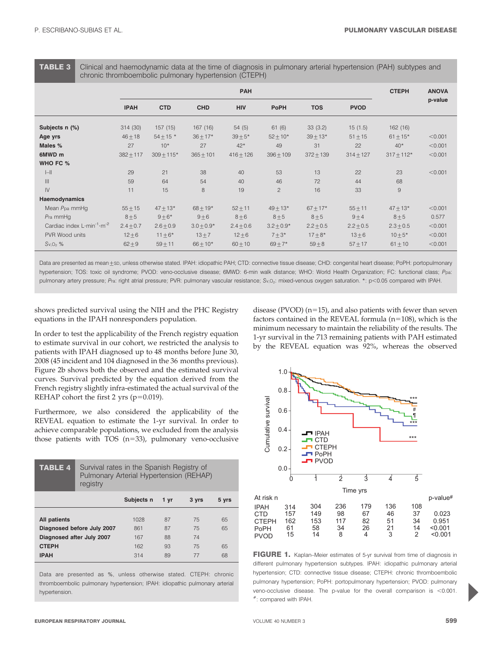TABLE 3 Clinical and haemodynamic data at the time of diagnosis in pulmonary arterial hypertension (PAH) subtypes and chronic thromboembolic pulmonary hypertension (CTEPH)

|                                               | <b>PAH</b>  |               |                |             |                |               | <b>CTEPH</b>  | <b>ANOVA</b>   |         |
|-----------------------------------------------|-------------|---------------|----------------|-------------|----------------|---------------|---------------|----------------|---------|
|                                               | <b>IPAH</b> | <b>CTD</b>    | <b>CHD</b>     | <b>HIV</b>  | <b>PoPH</b>    | <b>TOS</b>    | <b>PVOD</b>   |                | p-value |
| Subjects n (%)                                | 314 (30)    | 157(15)       | 167 (16)       | 54(5)       | 61(6)          | 33(3.2)       | 15(1.5)       | 162 (16)       |         |
| Age yrs                                       | $46 + 18$   | $54 \pm 15$ * | $36 + 17*$     | $39 + 5*$   | $52 + 10*$     | $39 + 13*$    | $51 + 15$     | $61 + 15*$     | < 0.001 |
| Males %                                       | 27          | $10*$         | 27             | $42*$       | 49             | 31            | 22            | $40*$          | < 0.001 |
| 6MWD m                                        | $382 + 117$ | $309 + 115*$  | $365 + 101$    | $416 + 126$ | $396 + 109$    | $372 + 139$   | $314 + 127$   | $317 + 112*$   | < 0.001 |
| WHO FC %                                      |             |               |                |             |                |               |               |                |         |
| $  -  $                                       | 29          | 21            | 38             | 40          | 53             | 13            | 22            | 23             | < 0.001 |
| $\begin{array}{c} \hline \end{array}$         | 59          | 64            | 54             | 40          | 46             | 72            | 44            | 68             |         |
| $\mathsf{IV}$                                 | 11          | 15            | 8              | 19          | $\overline{c}$ | 16            | 33            | $\overline{9}$ |         |
| Haemodynamics                                 |             |               |                |             |                |               |               |                |         |
| Mean Ppa mmHg                                 | $55 + 15$   | $47 + 13*$    | $68 \pm 19*$   | $52 + 11$   | $49 + 13*$     | $67 + 17*$    | $55 + 11$     | $47 + 13*$     | < 0.001 |
| $P$ ra mm $H$ g                               | $8 + 5$     | $9 + 6*$      | $9 + 6$        | $8 + 6$     | $8 + 5$        | $8 + 5$       | $9 + 4$       | $8 + 5$        | 0.577   |
| Cardiac index $L \cdot min^{-1} \cdot m^{-2}$ | $2.4 + 0.7$ | $2.6 \pm 0.9$ | $3.0 \pm 0.9*$ | $2.4 + 0.6$ | $3.2 + 0.9*$   | $2.2 \pm 0.5$ | $2.2 \pm 0.5$ | $2.3 \pm 0.5$  | < 0.001 |
| PVR Wood units                                | $12 + 6$    | $11 \pm 6*$   | $13 + 7$       | $12 \pm 6$  | $7 + 3*$       | $17 + 8*$     | $13\pm 6$     | $10 + 5*$      | < 0.001 |
| $Sv, O2$ %                                    | $62 \pm 9$  | $59 + 11$     | $66 + 10*$     | $60 + 10$   | $69 + 7*$      | $59\pm8$      | $57 + 17$     | $61 \pm 10$    | < 0.001 |

Data are presented as mean ±sp, unless otherwise stated. IPAH: idiopathic PAH; CTD: connective tissue disease; CHD: congenital heart disease; PoPH: portopulmonary hypertension; TOS: toxic oil syndrome; PVOD: veno-occlusive disease; 6MWD: 6-min walk distance; WHO: World Health Organization; FC: functional class; Ppa: pulmonary artery pressure; Pra: right atrial pressure; PVR: pulmonary vascular resistance; Sv,O<sub>2</sub>: mixed-venous oxygen saturation. \*: p<0.05 compared with IPAH.

shows predicted survival using the NIH and the PHC Registry equations in the IPAH nonresponders population.

In order to test the applicability of the French registry equation to estimate survival in our cohort, we restricted the analysis to patients with IPAH diagnosed up to 48 months before June 30, 2008 (45 incident and 104 diagnosed in the 36 months previous). Figure 2b shows both the observed and the estimated survival curves. Survival predicted by the equation derived from the French registry slightly infra-estimated the actual survival of the REHAP cohort the first 2 yrs ( $p=0.019$ ).

Furthermore, we also considered the applicability of the REVEAL equation to estimate the 1-yr survival. In order to achieve comparable populations, we excluded from the analysis those patients with TOS  $(n=33)$ , pulmonary veno-occlusive

| <b>TABLE 4</b>                    | Survival rates in the Spanish Registry of<br>Pulmonary Arterial Hypertension (REHAP)<br>registry |            |      |       |       |  |
|-----------------------------------|--------------------------------------------------------------------------------------------------|------------|------|-------|-------|--|
|                                   |                                                                                                  | Subjects n | 1 yr | 3 yrs | 5 yrs |  |
| <b>All patients</b><br>87<br>1028 |                                                                                                  |            |      |       | 65    |  |
|                                   | Diagnosed before July 2007<br>87<br>75<br>65<br>861                                              |            |      |       |       |  |
| Diagnosed after July 2007         |                                                                                                  | 167        | 88   | 74    |       |  |
| <b>CTEPH</b>                      |                                                                                                  | 162        | 93   | 75    | 65    |  |
| <b>IPAH</b>                       |                                                                                                  | 314        | 89   | 77    | 68    |  |

Data are presented as %, unless otherwise stated. CTEPH: chronic thromboembolic pulmonary hypertension; IPAH: idiopathic pulmonary arterial hypertension.

disease (PVOD)  $(n=15)$ , and also patients with fewer than seven factors contained in the REVEAL formula  $(n=108)$ , which is the minimum necessary to maintain the reliability of the results. The 1-yr survival in the 713 remaining patients with PAH estimated by the REVEAL equation was 92%, whereas the observed



FIGURE 1. Kaplan–Meier estimates of 5-yr survival from time of diagnosis in different pulmonary hypertension subtypes. IPAH: idiopathic pulmonary arterial hypertension; CTD: connective tissue disease; CTEPH: chronic thromboembolic pulmonary hypertension; PoPH: portopulmonary hypertension; PVOD: pulmonary veno-occlusive disease. The p-value for the overall comparison is  $<$  0.001 #: compared with IPAH.

P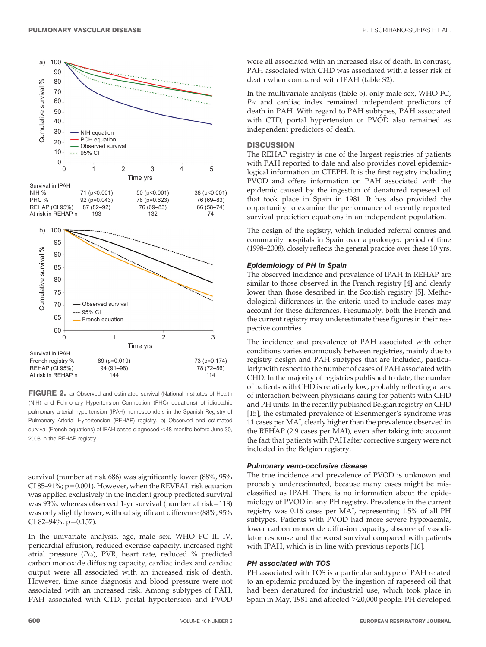

FIGURE 2. a) Observed and estimated survival (National Institutes of Health (NIH) and Pulmonary Hypertension Connection (PHC) equations) of idiopathic pulmonary arterial hypertension (IPAH) nonresponders in the Spanish Registry of Pulmonary Arterial Hypertension (REHAP) registry. b) Observed and estimated survival (French equations) of IPAH cases diagnosed <48 months before June 30, 2008 in the REHAP registry.

survival (number at risk 686) was significantly lower (88%, 95% CI 85-91%;  $p=0.001$ ). However, when the REVEAL risk equation was applied exclusively in the incident group predicted survival was 93%, whereas observed 1-yr survival (number at risk=118) was only slightly lower, without significant difference (88%, 95% CI 82-94%; p=0.157).

In the univariate analysis, age, male sex, WHO FC III–IV, pericardial effusion, reduced exercise capacity, increased right atrial pressure (Pra), PVR, heart rate, reduced % predicted carbon monoxide diffusing capacity, cardiac index and cardiac output were all associated with an increased risk of death. However, time since diagnosis and blood pressure were not associated with an increased risk. Among subtypes of PAH, PAH associated with CTD, portal hypertension and PVOD were all associated with an increased risk of death. In contrast, PAH associated with CHD was associated with a lesser risk of death when compared with IPAH (table S2).

In the multivariate analysis (table 5), only male sex, WHO FC, Pra and cardiac index remained independent predictors of death in PAH. With regard to PAH subtypes, PAH associated with CTD, portal hypertension or PVOD also remained as independent predictors of death.

#### **DISCUSSION**

The REHAP registry is one of the largest registries of patients with PAH reported to date and also provides novel epidemiological information on CTEPH. It is the first registry including PVOD and offers information on PAH associated with the epidemic caused by the ingestion of denatured rapeseed oil that took place in Spain in 1981. It has also provided the opportunity to examine the performance of recently reported survival prediction equations in an independent population.

The design of the registry, which included referral centres and community hospitals in Spain over a prolonged period of time (1998–2008), closely reflects the general practice over these 10 yrs.

#### Epidemiology of PH in Spain

The observed incidence and prevalence of IPAH in REHAP are similar to those observed in the French registry [4] and clearly lower than those described in the Scottish registry [5]. Methodological differences in the criteria used to include cases may account for these differences. Presumably, both the French and the current registry may underestimate these figures in their respective countries.

The incidence and prevalence of PAH associated with other conditions varies enormously between registries, mainly due to registry design and PAH subtypes that are included, particularly with respect to the number of cases of PAH associated with CHD. In the majority of registries published to date, the number of patients with CHD is relatively low, probably reflecting a lack of interaction between physicians caring for patients with CHD and PH units. In the recently published Belgian registry on CHD [15], the estimated prevalence of Eisenmenger's syndrome was 11 cases per MAI, clearly higher than the prevalence observed in the REHAP (2.9 cases per MAI), even after taking into account the fact that patients with PAH after corrective surgery were not included in the Belgian registry.

#### Pulmonary veno-occlusive disease

The true incidence and prevalence of PVOD is unknown and probably underestimated, because many cases might be misclassified as IPAH. There is no information about the epidemiology of PVOD in any PH registry. Prevalence in the current registry was 0.16 cases per MAI, representing 1.5% of all PH subtypes. Patients with PVOD had more severe hypoxaemia, lower carbon monoxide diffusion capacity, absence of vasodilator response and the worst survival compared with patients with IPAH, which is in line with previous reports [16].

#### PH associated with TOS

PH associated with TOS is a particular subtype of PAH related to an epidemic produced by the ingestion of rapeseed oil that had been denatured for industrial use, which took place in Spain in May, 1981 and affected >20,000 people. PH developed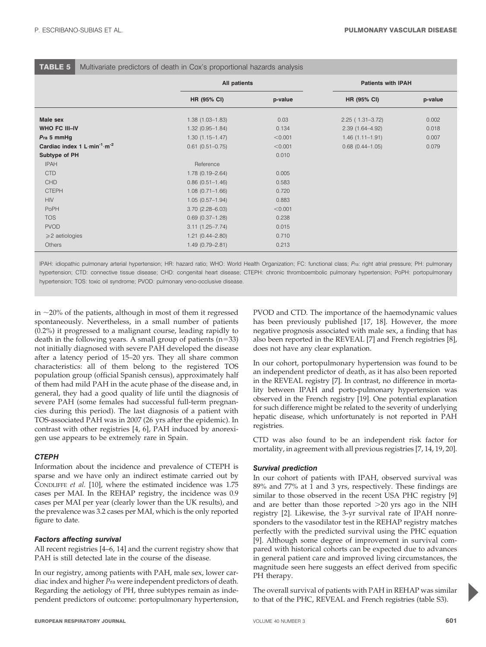#### TABLE 5 Multivariate predictors of death in Cox's proportional hazards analysis

|                                                                      | All patients                                |                  | <b>Patients with IPAH</b>                  |                |  |  |
|----------------------------------------------------------------------|---------------------------------------------|------------------|--------------------------------------------|----------------|--|--|
|                                                                      | HR (95% CI)                                 | p-value          | HR (95% CI)                                | p-value        |  |  |
| Male sex                                                             | $1.38(1.03 - 1.83)$                         | 0.03             | $2.25(1.31-3.72)$                          | 0.002          |  |  |
| <b>WHO FC III-IV</b><br>Pra 5 mmHg                                   | $1.32(0.95 - 1.84)$<br>$1.30(1.15 - 1.47)$  | 0.134<br>< 0.001 | $2.39(1.64 - 4.92)$<br>$1.46(1.11 - 1.91)$ | 0.018<br>0.007 |  |  |
| Cardiac index 1 L min <sup>-1</sup> m <sup>-2</sup><br>Subtype of PH | $0.61$ $(0.51 - 0.75)$                      | < 0.001<br>0.010 | $0.68$ $(0.44 - 1.05)$                     | 0.079          |  |  |
| <b>IPAH</b><br><b>CTD</b>                                            | Reference<br>$1.78(0.19 - 2.64)$            | 0.005            |                                            |                |  |  |
| <b>CHD</b><br><b>CTEPH</b>                                           | $0.86(0.51 - 1.46)$<br>$1.08(0.71 - 1.66)$  | 0.583<br>0.720   |                                            |                |  |  |
| <b>HIV</b><br>PoPH                                                   | $1.05(0.57 - 1.94)$<br>$3.70(2.28 - 6.03)$  | 0.883<br>< 0.001 |                                            |                |  |  |
| <b>TOS</b><br><b>PVOD</b>                                            | $0.69$ $(0.37-1.28)$<br>$3.11(1.25 - 7.74)$ | 0.238<br>0.015   |                                            |                |  |  |
| $\geqslant$ 2 aetiologies<br><b>Others</b>                           | $1.21(0.44 - 2.80)$<br>$1.49(0.79 - 2.81)$  | 0.710<br>0.213   |                                            |                |  |  |

IPAH: idiopathic pulmonary arterial hypertension; HR: hazard ratio; WHO: World Health Organization; FC: functional class; Pra: right atrial pressure; PH: pulmonary hypertension; CTD: connective tissue disease; CHD: congenital heart disease; CTEPH: chronic thromboembolic pulmonary hypertension; PoPH: portopulmonary hypertension; TOS: toxic oil syndrome; PVOD: pulmonary veno-occlusive disease.

in  $\sim$ 20% of the patients, although in most of them it regressed spontaneously. Nevertheless, in a small number of patients (0.2%) it progressed to a malignant course, leading rapidly to death in the following years. A small group of patients  $(n=33)$ not initially diagnosed with severe PAH developed the disease after a latency period of 15–20 yrs. They all share common characteristics: all of them belong to the registered TOS population group (official Spanish census), approximately half of them had mild PAH in the acute phase of the disease and, in general, they had a good quality of life until the diagnosis of severe PAH (some females had successful full-term pregnancies during this period). The last diagnosis of a patient with TOS-associated PAH was in 2007 (26 yrs after the epidemic). In contrast with other registries [4, 6], PAH induced by anorexigen use appears to be extremely rare in Spain.

## **CTEPH**

Information about the incidence and prevalence of CTEPH is sparse and we have only an indirect estimate carried out by CONDLIFFE et al. [10], where the estimated incidence was 1.75 cases per MAI. In the REHAP registry, the incidence was 0.9 cases per MAI per year (clearly lower than the UK results), and the prevalence was 3.2 cases per MAI, which is the only reported figure to date.

# Factors affecting survival

All recent registries [4–6, 14] and the current registry show that PAH is still detected late in the course of the disease.

In our registry, among patients with PAH, male sex, lower cardiac index and higher Pra were independent predictors of death. Regarding the aetiology of PH, three subtypes remain as independent predictors of outcome: portopulmonary hypertension,

PVOD and CTD. The importance of the haemodynamic values has been previously published [17, 18]. However, the more negative prognosis associated with male sex, a finding that has also been reported in the REVEAL [7] and French registries [8], does not have any clear explanation.

In our cohort, portopulmonary hypertension was found to be an independent predictor of death, as it has also been reported in the REVEAL registry [7]. In contrast, no difference in mortality between IPAH and porto-pulmonary hypertension was observed in the French registry [19]. One potential explanation for such difference might be related to the severity of underlying hepatic disease, which unfortunately is not reported in PAH registries.

CTD was also found to be an independent risk factor for mortality, in agreement with all previous registries [7, 14, 19, 20].

# Survival prediction

In our cohort of patients with IPAH, observed survival was 89% and 77% at 1 and 3 yrs, respectively. These findings are similar to those observed in the recent USA PHC registry [9] and are better than those reported  $>20$  yrs ago in the NIH registry [2]. Likewise, the 3-yr survival rate of IPAH nonresponders to the vasodilator test in the REHAP registry matches perfectly with the predicted survival using the PHC equation [9]. Although some degree of improvement in survival compared with historical cohorts can be expected due to advances in general patient care and improved living circumstances, the magnitude seen here suggests an effect derived from specific PH therapy.

The overall survival of patients with PAH in REHAP was similar to that of the PHC, REVEAL and French registries (table S3).

P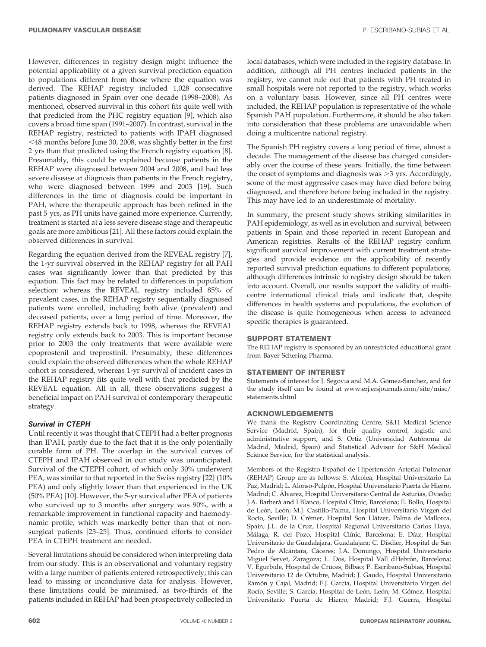However, differences in registry design might influence the potential applicability of a given survival prediction equation to populations different from those where the equation was derived. The REHAP registry included 1,028 consecutive patients diagnosed in Spain over one decade (1998–2008). As mentioned, observed survival in this cohort fits quite well with that predicted from the PHC registry equation [9], which also covers a broad time span (1991–2007). In contrast, survival in the REHAP registry, restricted to patients with IPAH diagnosed ,48 months before June 30, 2008, was slightly better in the first 2 yrs than that predicted using the French registry equation [8]. Presumably, this could be explained because patients in the REHAP were diagnosed between 2004 and 2008, and had less severe disease at diagnosis than patients in the French registry, who were diagnosed between 1999 and 2003 [19]. Such differences in the time of diagnosis could be important in PAH, where the therapeutic approach has been refined in the past 5 yrs, as PH units have gained more experience. Currently, treatment is started at a less severe disease stage and therapeutic goals are more ambitious [21]. All these factors could explain the observed differences in survival.

Regarding the equation derived from the REVEAL registry [7], the 1-yr survival observed in the REHAP registry for all PAH cases was significantly lower than that predicted by this equation. This fact may be related to differences in population selection: whereas the REVEAL registry included 85% of prevalent cases, in the REHAP registry sequentially diagnosed patients were enrolled, including both alive (prevalent) and deceased patients, over a long period of time. Moreover, the REHAP registry extends back to 1998, whereas the REVEAL registry only extends back to 2003. This is important because prior to 2003 the only treatments that were available were epoprostenil and treprostinil. Presumably, these differences could explain the observed differences when the whole REHAP cohort is considered, whereas 1-yr survival of incident cases in the REHAP registry fits quite well with that predicted by the REVEAL equation. All in all, these observations suggest a beneficial impact on PAH survival of contemporary therapeutic strategy.

## Survival in CTEPH

Until recently it was thought that CTEPH had a better prognosis than IPAH, partly due to the fact that it is the only potentially curable form of PH. The overlap in the survival curves of CTEPH and IPAH observed in our study was unanticipated. Survival of the CTEPH cohort, of which only 30% underwent PEA, was similar to that reported in the Swiss registry [22] (10% PEA) and only slightly lower than that experienced in the UK (50% PEA) [10]. However, the 5-yr survival after PEA of patients who survived up to 3 months after surgery was 90%, with a remarkable improvement in functional capacity and haemodynamic profile, which was markedly better than that of nonsurgical patients [23–25]. Thus, continued efforts to consider PEA in CTEPH treatment are needed.

Several limitations should be considered when interpreting data from our study. This is an observational and voluntary registry with a large number of patients entered retrospectively; this can lead to missing or inconclusive data for analysis. However, these limitations could be minimised, as two-thirds of the patients included in REHAP had been prospectively collected in

local databases, which were included in the registry database. In addition, although all PH centres included patients in the registry, we cannot rule out that patients with PH treated in small hospitals were not reported to the registry, which works on a voluntary basis. However, since all PH centres were included, the REHAP population is representative of the whole Spanish PAH population. Furthermore, it should be also taken into consideration that these problems are unavoidable when doing a multicentre national registry.

The Spanish PH registry covers a long period of time, almost a decade. The management of the disease has changed considerably over the course of these years. Initially, the time between the onset of symptoms and diagnosis was  $>$ 3 yrs. Accordingly, some of the most aggressive cases may have died before being diagnosed, and therefore before being included in the registry. This may have led to an underestimate of mortality.

In summary, the present study shows striking similarities in PAH epidemiology, as well as in evolution and survival, between patients in Spain and those reported in recent European and American registries. Results of the REHAP registry confirm significant survival improvement with current treatment strategies and provide evidence on the applicability of recently reported survival prediction equations to different populations, although differences intrinsic to registry design should be taken into account. Overall, our results support the validity of multicentre international clinical trials and indicate that, despite differences in health systems and populations, the evolution of the disease is quite homogeneous when access to advanced specific therapies is guaranteed.

## SUPPORT STATEMENT

The REHAP registry is sponsored by an unrestricted educational grant from Bayer Schering Pharma.

#### STATEMENT OF INTEREST

Statements of interest for J. Segovia and M.A. Gómez-Sanchez, and for the study itself can be found at www.erj.ersjournals.com/site/misc/ statements.xhtml

#### ACKNOWLEDGEMENTS

We thank the Registry Coordinating Centre, S&H Medical Science Service (Madrid, Spain), for their quality control, logistic and administrative support, and S. Ortiz (Universidad Autónoma de Madrid, Madrid, Spain) and Statistical Advisor for S&H Medical Science Service, for the statistical analysis.

Members of the Registro Español de Hipertensión Arterial Pulmonar (REHAP) Group are as follows: S. Alcolea, Hospital Universitario La Paz, Madrid; L. Alonso-Pulpón, Hospital Universitario Puerta de Hierro, Madrid; C. Álvarez, Hospital Universitario Central de Asturias, Oviedo; J.A. Barberà and I Blanco, Hospital Clínic, Barcelona; E. Bollo, Hospital de León, León; M.J. Castillo-Palma, Hospital Universitario Virgen del Rocío, Seville; D. Crémer, Hospital Son Llátzer, Palma de Mallorca, Spain; J.L. de la Cruz, Hospital Regional Universitario Carlos Haya, Málaga; R. del Pozo, Hospital Clínic, Barcelona; E. Díaz, Hospital Universitario de Guadalajara, Guadalajara; C. Disdier, Hospital de San Pedro de Alcántara, Cáceres; J.A. Domingo, Hospital Universitario Miguel Servet, Zaragoza; L. Dos, Hospital Vall dHebrón, Barcelona; V. Egurbide, Hospital de Cruces, Bilbao; P. Escribano-Subias, Hospital Universitario 12 de Octubre, Madrid; J. Gaudo, Hospital Universitario Ramón y Cajal, Madrid; F.J. García, Hospital Universitario Virgen del Rocío, Seville; S. García, Hospital de León, León; M. Gómez, Hospital Universitario Puerta de Hierro, Madrid; F.J. Guerra, Hospital